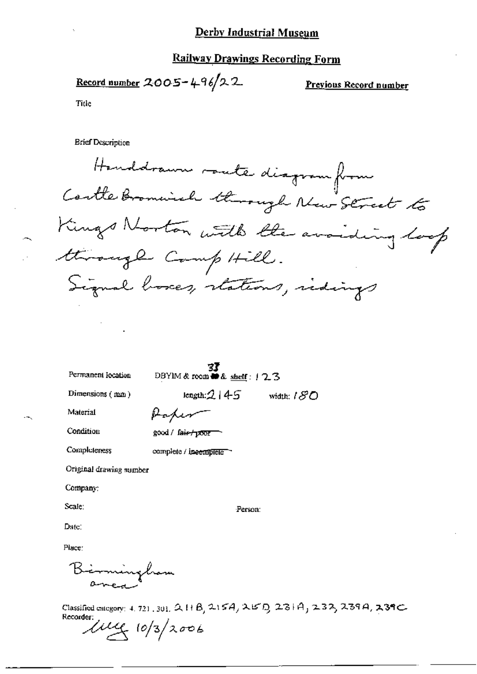## Derby Industrial Museum

#### **Railway Drawings Recording Form**

Record number 2005-496/22

Previous Record number

Title

**Brief Description** 

Handstrawn soute diagram from Cortle Bromwich through New Street to Kings Norton with the avoiding loop through Comp Hill. Signal boxes, stations, indings

Permanent location

**33**<br>DBYIM & room  $\blacksquare$  & shelf :  $123$ 

Dimensions (mm)

length: $2145$  width:  $180$ 

Material

| Paper |                    |  |  |  |
|-------|--------------------|--|--|--|
|       |                    |  |  |  |
|       | good / fair-/ poor |  |  |  |

Condition Completeness

complete / incemplete ~

Original drawing number

Company:

Scale:

Person:

Date:

Place:

Birmingham

Classified category: 4, 721, 301, 2, 1+ B, 215A, 215D, 23+A, 233, 239A, 239C Recorder  $\mu$ <br> $\mu$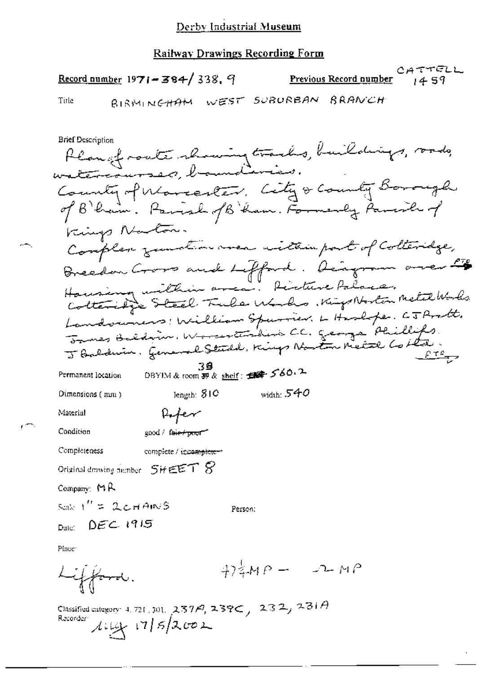# Railway Drawings Recording Form

|       | Record number 1971 - 384/338, 9 |  | <u>Previous Record number</u> $14.59$ | CATTELL |
|-------|---------------------------------|--|---------------------------------------|---------|
| Tirle | BIRMINGHAM WEST SUBURBAN BRANCH |  |                                       |         |

| <b>Brief Description</b>                                                                      |
|-----------------------------------------------------------------------------------------------|
| Plangfroate showing tracks, buildings, roads,                                                 |
| watercourses, bounderies.                                                                     |
| County of Warrenter, City & County Borough                                                    |
| of B'hain. Parish of B'ham. Formerly Parents of                                               |
| Vaings Naton.                                                                                 |
| Complex zumation aver within part of Colteridge,                                              |
| Breedon Grove and Liffard. Deagram avec 15                                                    |
| Housing unithin area'. Picture Palace,<br>Cotteridge Steel Fule Works. KigsNorton Metal Works |
|                                                                                               |
| Landounes: William Spurner. L Haslipe. CJ Prott.                                              |
| James Baldwin, Warentinhine C.C. George Phillips                                              |
| J Baldwin, General Studi, Kings Norton Retal Collection<br><u>film</u>                        |
| DBYIM&room お& shelf: <del>156</del> 560.2<br>Permanent location                               |
| width: $540$<br>length: STO<br>Dimensions (mm)                                                |
| Material<br>Rofer                                                                             |
| Condition<br>good / f <del>air/poor</del>                                                     |
| complete / iccomplete-<br>Completeness                                                        |
| Original drawing number $S$ if $\epsilon \epsilon$ T $S$                                      |
| Company: $MR$                                                                                 |
| seak (" = 2cHAINS<br>Person;                                                                  |
| $_{\text{Dalc}}$ ()EC 1915                                                                    |

Place:

$$
474MP - 22MP
$$

Classified category: 4, 721, 301, 237A, 239C, 232, 231A<br>Recorder  $\lim_{\Delta \downarrow 0}$  17/5/2002